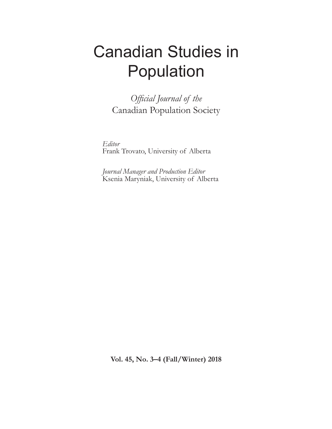# Canadian Studies in Population

*Official Journal of the* Canadian Population Society

*Editor* Frank Trovato, University of Alberta

*Journal Manager and Production Editor* Ksenia Maryniak, University of Alberta

**Vol. 45, No. 3–4 (Fall/Winter) 2018**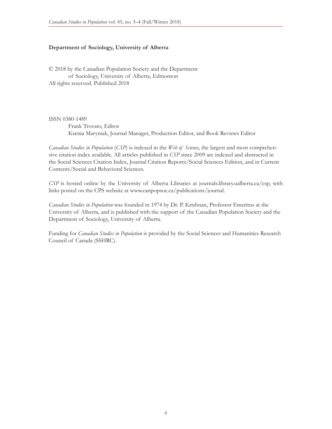### **Department of Sociology, University of Alberta**

© 2018 by the Canadian Population Society and the Department of Sociology, University of Alberta, Edmonton All rights reserved. Published 2018

ISSN 0380-1489

Frank Trovato, Editor Ksenia Maryniak, Journal Manager, Production Editor, and Book Reviews Editor

*Canadian Studies in Population* (*CSP*) is indexed in the *Web of Science*, the largest and most comprehensive citation index available. All articles published in *CSP* since 2009 are indexed and abstracted in the Social Sciences Citation Index, Journal Citation Reports/Social Sciences Edition, and in Current Contents/Social and Behavioral Sciences.

*CSP* is hosted online by the University of Alberta Libraries at journals.library.ualberta.ca/csp, with links posted on the CPS website at www.canpopsoc.ca/publications/journal.

*Canadian Studies in Population* was founded in 1974 by Dr. P. Krishnan, Professor Emeritus at the University of Alberta, and is published with the support of the Canadian Population Society and the Department of Sociology, University of Alberta.

Funding for *Canadian Studies in Population* is provided by the Social Sciences and Humanities Research Council of Canada (SSHRC).